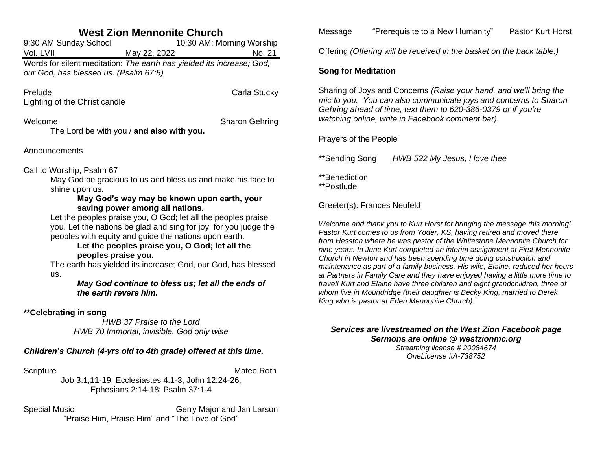| <b>West Zion Mennonite Church</b>                                                                                                                                                                                                                                                                                                                                                                                                                                                                                                                                                                                         |  |  |
|---------------------------------------------------------------------------------------------------------------------------------------------------------------------------------------------------------------------------------------------------------------------------------------------------------------------------------------------------------------------------------------------------------------------------------------------------------------------------------------------------------------------------------------------------------------------------------------------------------------------------|--|--|
| 9:30 AM Sunday School<br>10:30 AM: Morning Worship                                                                                                                                                                                                                                                                                                                                                                                                                                                                                                                                                                        |  |  |
| Vol. LVII<br>May 22, 2022<br>No. 21                                                                                                                                                                                                                                                                                                                                                                                                                                                                                                                                                                                       |  |  |
| Words for silent meditation: The earth has yielded its increase; God,<br>our God, has blessed us. (Psalm 67:5)                                                                                                                                                                                                                                                                                                                                                                                                                                                                                                            |  |  |
| Prelude<br>Carla Stucky<br>Lighting of the Christ candle                                                                                                                                                                                                                                                                                                                                                                                                                                                                                                                                                                  |  |  |
| Welcome<br><b>Sharon Gehring</b><br>The Lord be with you / and also with you.                                                                                                                                                                                                                                                                                                                                                                                                                                                                                                                                             |  |  |
| Announcements                                                                                                                                                                                                                                                                                                                                                                                                                                                                                                                                                                                                             |  |  |
| Call to Worship, Psalm 67<br>May God be gracious to us and bless us and make his face to<br>shine upon us.<br>May God's way may be known upon earth, your<br>saving power among all nations.<br>Let the peoples praise you, O God; let all the peoples praise<br>you. Let the nations be glad and sing for joy, for you judge the<br>peoples with equity and guide the nations upon earth.<br>Let the peoples praise you, O God; let all the<br>peoples praise you.<br>The earth has yielded its increase; God, our God, has blessed<br>us.<br>May God continue to bless us; let all the ends of<br>the earth revere him. |  |  |
| ** Celebrating in song<br>HWB 37 Praise to the Lord<br>HWB 70 Immortal, invisible, God only wise                                                                                                                                                                                                                                                                                                                                                                                                                                                                                                                          |  |  |
| Children's Church (4-yrs old to 4th grade) offered at this time.                                                                                                                                                                                                                                                                                                                                                                                                                                                                                                                                                          |  |  |
| Scripture<br>Mateo Roth<br>Job 3:1,11-19; Ecclesiastes 4:1-3; John 12:24-26;<br>Ephesians 2:14-18; Psalm 37:1-4                                                                                                                                                                                                                                                                                                                                                                                                                                                                                                           |  |  |

Special Music Gerry Major and Jan Larson "Praise Him, Praise Him" and "The Love of God"

Message "Prerequisite to a New Humanity" Pastor Kurt Horst

Offering *(Offering will be received in the basket on the back table.)*

## **Song for Meditation**

Sharing of Joys and Concerns *(Raise your hand, and we'll bring the mic to you. You can also communicate joys and concerns to Sharon Gehring ahead of time, text them to 620-386-0379 or if you're watching online, write in Facebook comment bar).*

## Prayers of the People

\*\*Sending Song *HWB 522 My Jesus, I love thee*

\*\*Benediction

\*\*Postlude

Greeter(s): Frances Neufeld

*Welcome and thank you to Kurt Horst for bringing the message this morning! Pastor Kurt comes to us from Yoder, KS, having retired and moved there from Hesston where he was pastor of the Whitestone Mennonite Church for nine years. In June Kurt completed an interim assignment at First Mennonite Church in Newton and has been spending time doing construction and maintenance as part of a family business. His wife, Elaine, reduced her hours at Partners in Family Care and they have enjoyed having a little more time to travel! Kurt and Elaine have three children and eight grandchildren, three of whom live in Moundridge (their daughter is Becky King, married to Derek King who is pastor at Eden Mennonite Church).*

#### *Services are livestreamed on the West Zion Facebook page Sermons are online @ westzionmc.org Streaming license # 20084674*

*OneLicense #A-738752*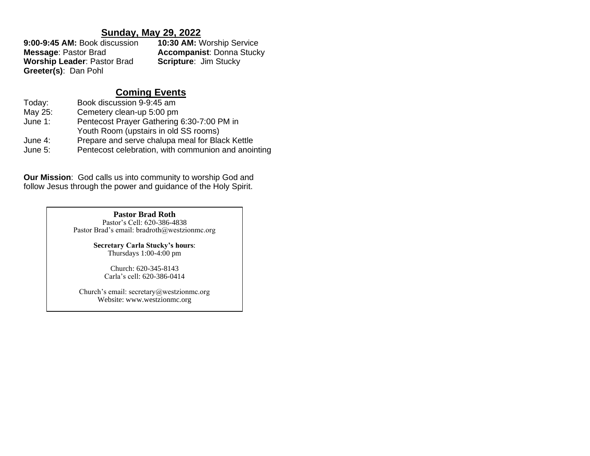# **Sunday, May 29, 2022**

| 9:00-9:45 AM: Book discussion      | <b>10:30 AM: Worship Service</b> |  |
|------------------------------------|----------------------------------|--|
| <b>Message: Pastor Brad</b>        | <b>Accompanist: Donna Stucky</b> |  |
| <b>Worship Leader: Pastor Brad</b> | <b>Scripture: Jim Stucky</b>     |  |
| Greeter(s): Dan Pohl               |                                  |  |

# **Coming Events**

| Today:     | Book discussion 9-9:45 am                           |
|------------|-----------------------------------------------------|
| May 25:    | Cemetery clean-up 5:00 pm                           |
| June $1$ : | Pentecost Prayer Gathering 6:30-7:00 PM in          |
|            | Youth Room (upstairs in old SS rooms)               |
| June 4:    | Prepare and serve chalupa meal for Black Kettle     |
| June 5:    | Pentecost celebration, with communion and anointing |

**Our Mission**: God calls us into community to worship God and follow Jesus through the power and guidance of the Holy Spirit.

#### **Pastor Brad Roth**

Pastor's Cell: 620-386-4838 Pastor Brad's email: bradroth@westzionmc.org

> **Secretary Carla Stucky's hours**: Thursdays 1:00-4:00 pm

Church: 620-345-8143 Carla's cell: 620-386-0414

Church's email: secretary@westzionmc.org Website: www.westzionmc.org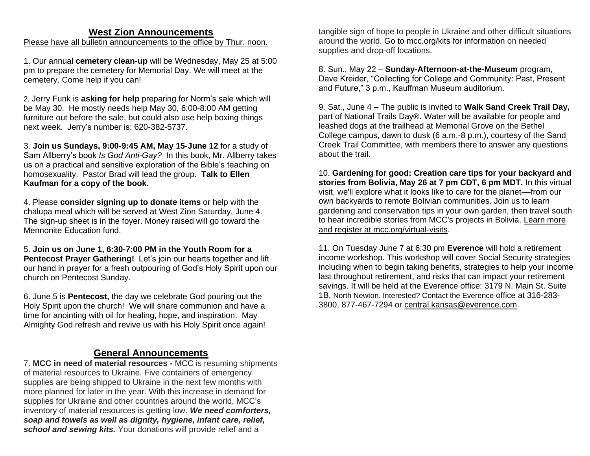# **West Zion Announcements**

Please have all bulletin announcements to the office by Thur. noon.

1. Our annual **cemetery clean-up** will be Wednesday, May 25 at 5:00 pm to prepare the cemetery for Memorial Day. We will meet at the cemetery. Come help if you can!

2. Jerry Funk is **asking for help** preparing for Norm's sale which will be May 30. He mostly needs help May 30, 6:00-8:00 AM getting furniture out before the sale, but could also use help boxing things next week. Jerry's number is: 620-382-5737.

3. **Join us Sundays, 9:00-9:45 AM, May 15-June 12** for a study of Sam Allberry's book *Is God Anti-Gay?* In this book, Mr. Allberry takes us on a practical and sensitive exploration of the Bible's teaching on homosexuality. Pastor Brad will lead the group. **Talk to Ellen Kaufman for a copy of the book.**

4. Please **consider signing up to donate items** or help with the chalupa meal which will be served at West Zion Saturday, June 4. The sign-up sheet is in the fover. Money raised will go toward the Mennonite Education fund.

5. **Join us on June 1, 6:30-7:00 PM in the Youth Room for a Pentecost Prayer Gathering!** Let's join our hearts together and lift our hand in prayer for a fresh outpouring of God's Holy Spirit upon our church on Pentecost Sunday.

6. June 5 is **Pentecost,** the day we celebrate God pouring out the Holy Spirit upon the church! We will share communion and have a time for anointing with oil for healing, hope, and inspiration. May Almighty God refresh and revive us with his Holy Spirit once again!

# **General Announcements**

7. **MCC in need of material resources -** MCC is resuming shipments of material resources to Ukraine. Five containers of emergency supplies are being shipped to Ukraine in the next few months with more planned for later in the year. With this increase in demand for supplies for Ukraine and other countries around the world, MCC's inventory of material resources is getting low. *We need comforters, soap and towels as well as dignity, hygiene, infant care, relief, school and sewing kits.* Your donations will provide relief and a

tangible sign of hope to people in Ukraine and other difficult situations around the world. Go to [mcc.org/kits](https://mcc.org/get-involved/kits) for information on needed supplies and drop-off locations.

8. Sun., May 22 – **Sunday-Afternoon-at-the-Museum** program, Dave Kreider, "Collecting for College and Community: Past, Present and Future," 3 p.m., Kauffman Museum auditorium.

9. Sat., June 4 – The public is invited to **Walk Sand Creek Trail Day,** part of National Trails Day®. Water will be available for people and leashed dogs at the trailhead at Memorial Grove on the Bethel College campus, dawn to dusk (6 a.m.-8 p.m.), courtesy of the Sand Creek Trail Committee, with members there to answer any questions about the trail.

10. **Gardening for good: Creation care tips for your backyard and stories from Bolivia, May 26 at 7 pm CDT, 6 pm MDT.** In this virtual visit, we'll explore what it looks like to care for the planet––from our own backyards to remote Bolivian communities. Join us to learn gardening and conservation tips in your own garden, then travel south to hear incredible stories from MCC's projects in Bolivia. [Learn more](https://mcc.org/mcc-virtual-visits)  [and register at mcc.org/virtual-visits.](https://mcc.org/mcc-virtual-visits)

11. On Tuesday June 7 at 6:30 pm **Everence** will hold a retirement income workshop. This workshop will cover Social Security strategies including when to begin taking benefits, strategies to help your income last throughout retirement, and risks that can impact your retirement savings. It will be held at the Everence office: 3179 N. Main St. Suite 1B, North Newton. Interested? Contact the Everence office at 316-283- 3800, 877-467-7294 or [central.kansas@everence.com.](mailto:central.kansas@everence.com)